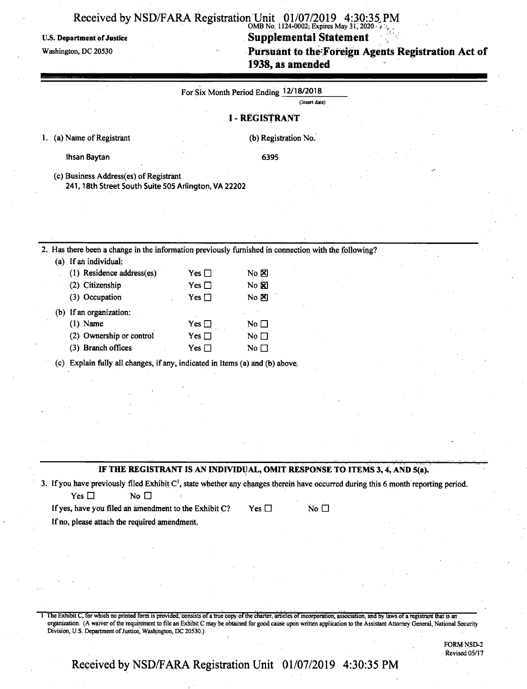#### **Received** by **NSD/FARA** Registration Unit 01/07/2019 4:30:35 PM OMB No. 1124-0002; Expires May 31, 2020

#### U.S. Department ofJustice **Supplemental Statement**

Washington, dc **<sup>20530</sup> Pursuant to therForeign Agents Registration Act of 1938, as amended**

|                                                                                                                                                |                             | For Six Month Period Ending 12/18/2018<br>(Insert date)                    |  |  |
|------------------------------------------------------------------------------------------------------------------------------------------------|-----------------------------|----------------------------------------------------------------------------|--|--|
|                                                                                                                                                |                             | <b>I-REGISTRANT</b>                                                        |  |  |
| 1. (a) Name of Registrant                                                                                                                      |                             | (b) Registration No.                                                       |  |  |
|                                                                                                                                                |                             | 6395                                                                       |  |  |
| Ihsan Baytan                                                                                                                                   |                             |                                                                            |  |  |
| (c) Business Address(es) of Registrant<br>241, 18th Street South Suite 505 Arlington, VA 22202                                                 |                             |                                                                            |  |  |
|                                                                                                                                                |                             |                                                                            |  |  |
|                                                                                                                                                |                             |                                                                            |  |  |
| 2. Has there been a change in the information previously furnished in connection with the following?                                           |                             |                                                                            |  |  |
| (a) If an individual:<br>(1) Residence address(es)                                                                                             |                             | $No \cancel{\boxtimes}$                                                    |  |  |
| (2) Citizenship                                                                                                                                | Yes $\Box$<br>Yes $\square$ | $No$ $\overline{X}$                                                        |  |  |
| (3) Occupation                                                                                                                                 | Yes $\sqcap$                | No $\Sigma$                                                                |  |  |
| (b) If an organization:                                                                                                                        |                             |                                                                            |  |  |
| $(1)$ Name                                                                                                                                     | Yes $\square$               | No $\Box$                                                                  |  |  |
| (2) Ownership or control                                                                                                                       | Yes $\Box$                  | No $\square$                                                               |  |  |
| (3) Branch offices                                                                                                                             | Yes $\sqcap$                | No $\square$                                                               |  |  |
| (c) Explain fully all changes, if any, indicated in Items (a) and (b) above.                                                                   |                             |                                                                            |  |  |
|                                                                                                                                                |                             |                                                                            |  |  |
|                                                                                                                                                |                             |                                                                            |  |  |
|                                                                                                                                                |                             |                                                                            |  |  |
|                                                                                                                                                |                             |                                                                            |  |  |
|                                                                                                                                                |                             |                                                                            |  |  |
|                                                                                                                                                |                             |                                                                            |  |  |
|                                                                                                                                                |                             | IF THE REGISTRANT IS AN INDIVIDUAL, OMIT RESPONSE TO ITEMS 3, 4, AND 5(a). |  |  |
| 3. If you have previously filed Exhibit C <sup>1</sup> , state whether any changes therein have occurred during this 6 month reporting period. |                             |                                                                            |  |  |
| Yes $\square$<br>No $\square$                                                                                                                  |                             |                                                                            |  |  |
| If yes, have you filed an amendment to the Exhibit C?                                                                                          |                             | No $\square$<br>$Yes \Box$                                                 |  |  |
| If no, please attach the required amendment.                                                                                                   |                             |                                                                            |  |  |

1 The Exhibit C, for which no printed form is provided, consists of a true copy of the charter, articles of incorporation, association, and by laws of a registrant that is an organization. (A waiver ofthe requirement to file an Exhibit C may be obtained for good cause upon written application to the Assistant Attorney General, National Security Division, U.S. Department of Justice, Washington, DC 20530.)

> FORM NSD-2 Revised 05/17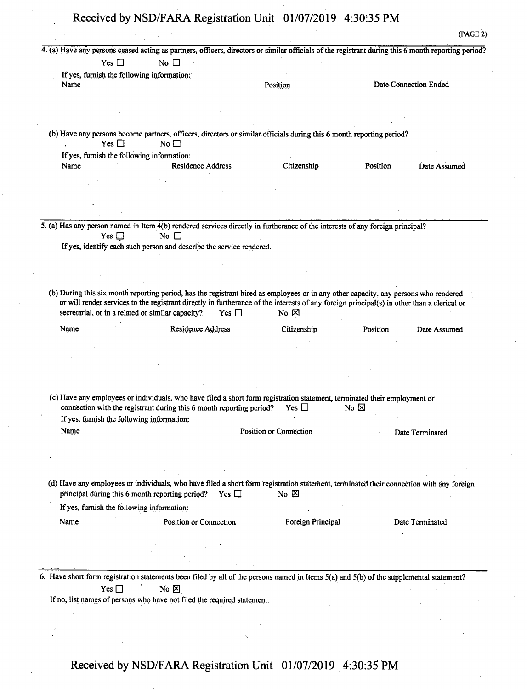|                                                   |                                                                                                                                                                                                                                                                                                  | 4. (a) Have any persons ceased acting as partners, officers, directors or similar officials of the registrant during this 6 month reporting period? |                |                       |
|---------------------------------------------------|--------------------------------------------------------------------------------------------------------------------------------------------------------------------------------------------------------------------------------------------------------------------------------------------------|-----------------------------------------------------------------------------------------------------------------------------------------------------|----------------|-----------------------|
| Yes $\square$                                     | No $\square$                                                                                                                                                                                                                                                                                     |                                                                                                                                                     |                |                       |
| If yes, furnish the following information:        |                                                                                                                                                                                                                                                                                                  |                                                                                                                                                     |                |                       |
| Name                                              |                                                                                                                                                                                                                                                                                                  | Position                                                                                                                                            |                | Date Connection Ended |
|                                                   |                                                                                                                                                                                                                                                                                                  |                                                                                                                                                     |                |                       |
|                                                   |                                                                                                                                                                                                                                                                                                  |                                                                                                                                                     |                |                       |
|                                                   |                                                                                                                                                                                                                                                                                                  |                                                                                                                                                     |                |                       |
| Yes $\Box$                                        | (b) Have any persons become partners, officers, directors or similar officials during this 6 month reporting period?<br>No $\square$                                                                                                                                                             |                                                                                                                                                     |                |                       |
| If yes, furnish the following information:        |                                                                                                                                                                                                                                                                                                  |                                                                                                                                                     |                |                       |
| Name                                              | <b>Residence Address</b>                                                                                                                                                                                                                                                                         | Citizenship                                                                                                                                         | Position       | Date Assumed          |
|                                                   |                                                                                                                                                                                                                                                                                                  |                                                                                                                                                     |                |                       |
|                                                   |                                                                                                                                                                                                                                                                                                  |                                                                                                                                                     |                |                       |
|                                                   |                                                                                                                                                                                                                                                                                                  |                                                                                                                                                     |                |                       |
|                                                   |                                                                                                                                                                                                                                                                                                  |                                                                                                                                                     |                |                       |
|                                                   | 5. (a) Has any person named in Item 4(b) rendered services directly in furtherance of the interests of any foreign principal?                                                                                                                                                                    |                                                                                                                                                     |                |                       |
| Yes $\square$                                     | No $\square$                                                                                                                                                                                                                                                                                     |                                                                                                                                                     |                |                       |
|                                                   | If yes, identify each such person and describe the service rendered.                                                                                                                                                                                                                             |                                                                                                                                                     |                |                       |
|                                                   |                                                                                                                                                                                                                                                                                                  |                                                                                                                                                     |                |                       |
|                                                   |                                                                                                                                                                                                                                                                                                  |                                                                                                                                                     |                |                       |
|                                                   |                                                                                                                                                                                                                                                                                                  |                                                                                                                                                     |                |                       |
| secretarial, or in a related or similar capacity? | (b) During this six month reporting period, has the registrant hired as employees or in any other capacity, any persons who rendered<br>or will render services to the registrant directly in furtherance of the interests of any foreign principal(s) in other than a clerical or<br>Yes $\Box$ | No $\boxtimes$                                                                                                                                      |                |                       |
|                                                   |                                                                                                                                                                                                                                                                                                  |                                                                                                                                                     |                |                       |
| Name                                              | <b>Residence Address</b>                                                                                                                                                                                                                                                                         | Citizenship                                                                                                                                         | Position       | Date Assumed          |
|                                                   |                                                                                                                                                                                                                                                                                                  |                                                                                                                                                     |                |                       |
|                                                   |                                                                                                                                                                                                                                                                                                  |                                                                                                                                                     |                |                       |
|                                                   |                                                                                                                                                                                                                                                                                                  |                                                                                                                                                     |                |                       |
|                                                   |                                                                                                                                                                                                                                                                                                  |                                                                                                                                                     |                |                       |
|                                                   |                                                                                                                                                                                                                                                                                                  |                                                                                                                                                     |                |                       |
|                                                   | (c) Have any employees or individuals, who have filed a short form registration statement, terminated their employment or<br>connection with the registrant during this 6 month reporting period? Yes $\Box$                                                                                     |                                                                                                                                                     | No $\boxtimes$ |                       |
|                                                   |                                                                                                                                                                                                                                                                                                  |                                                                                                                                                     |                |                       |
| If yes, furnish the following information:        |                                                                                                                                                                                                                                                                                                  |                                                                                                                                                     |                |                       |
| Name                                              |                                                                                                                                                                                                                                                                                                  | Position or Connection                                                                                                                              |                | Date Terminated       |
|                                                   |                                                                                                                                                                                                                                                                                                  |                                                                                                                                                     |                |                       |
|                                                   |                                                                                                                                                                                                                                                                                                  |                                                                                                                                                     |                |                       |
|                                                   |                                                                                                                                                                                                                                                                                                  |                                                                                                                                                     |                |                       |
|                                                   |                                                                                                                                                                                                                                                                                                  |                                                                                                                                                     |                |                       |
|                                                   | (d) Have any employees or individuals, who have filed a short form registration statement, terminated their connection with any foreign                                                                                                                                                          |                                                                                                                                                     |                |                       |
| principal during this 6 month reporting period?   | Yes $\Box$                                                                                                                                                                                                                                                                                       | No $\boxtimes$                                                                                                                                      |                |                       |
| If yes, furnish the following information:        |                                                                                                                                                                                                                                                                                                  |                                                                                                                                                     |                |                       |
|                                                   |                                                                                                                                                                                                                                                                                                  |                                                                                                                                                     |                |                       |
| Name                                              | Position or Connection                                                                                                                                                                                                                                                                           | Foreign Principal                                                                                                                                   |                | Date Terminated       |
|                                                   |                                                                                                                                                                                                                                                                                                  |                                                                                                                                                     |                |                       |
|                                                   |                                                                                                                                                                                                                                                                                                  |                                                                                                                                                     |                |                       |
|                                                   |                                                                                                                                                                                                                                                                                                  |                                                                                                                                                     |                |                       |
|                                                   |                                                                                                                                                                                                                                                                                                  |                                                                                                                                                     |                |                       |
|                                                   | 6. Have short form registration statements been filed by all of the persons named in Items 5(a) and 5(b) of the supplemental statement?                                                                                                                                                          |                                                                                                                                                     |                |                       |
| Yes $\Box$                                        | No $\boxtimes$                                                                                                                                                                                                                                                                                   |                                                                                                                                                     |                |                       |
|                                                   | If no, list names of persons who have not filed the required statement.                                                                                                                                                                                                                          |                                                                                                                                                     |                |                       |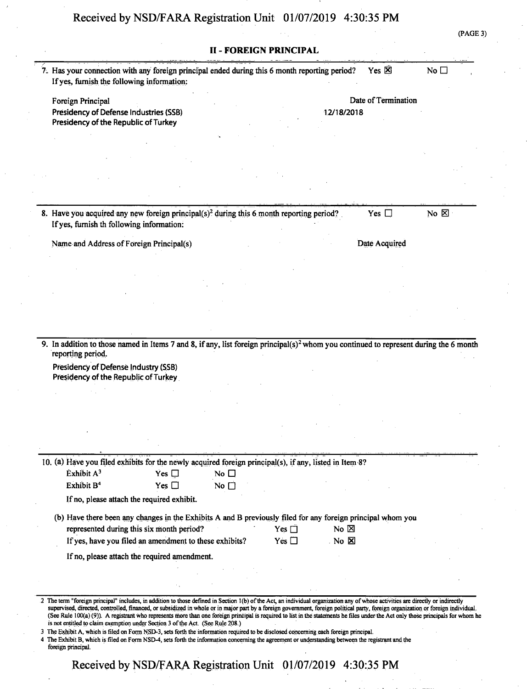(PAGE 3)

|                                                                                                                                                   |                                                                                                        |              | II - FOREIGN PRINCIPAL |                  |                     |                |
|---------------------------------------------------------------------------------------------------------------------------------------------------|--------------------------------------------------------------------------------------------------------|--------------|------------------------|------------------|---------------------|----------------|
| 7. Has your connection with any foreign principal ended during this 6 month reporting period?<br>If yes, furnish the following information:       |                                                                                                        |              |                        |                  | Yes $\boxtimes$     | No $\square$   |
|                                                                                                                                                   |                                                                                                        |              |                        |                  |                     |                |
| Foreign Principal                                                                                                                                 |                                                                                                        |              |                        |                  | Date of Termination |                |
| Presidency of Defense Industries (SSB)<br>Presidency of the Republic of Turkey                                                                    |                                                                                                        |              |                        | 12/18/2018       |                     |                |
|                                                                                                                                                   |                                                                                                        |              |                        |                  |                     |                |
|                                                                                                                                                   |                                                                                                        |              |                        |                  |                     |                |
|                                                                                                                                                   |                                                                                                        |              |                        |                  |                     |                |
|                                                                                                                                                   |                                                                                                        |              |                        |                  |                     |                |
| 8. Have you acquired any new foreign principal(s) <sup>2</sup> during this 6 month reporting period?<br>If yes, furnish th following information: |                                                                                                        |              |                        |                  | Yes $\Box$          | No $\boxtimes$ |
|                                                                                                                                                   |                                                                                                        |              |                        |                  |                     |                |
| Name and Address of Foreign Principal(s)                                                                                                          |                                                                                                        |              |                        |                  | Date Acquired       |                |
|                                                                                                                                                   |                                                                                                        |              |                        |                  |                     |                |
|                                                                                                                                                   |                                                                                                        |              |                        |                  |                     |                |
|                                                                                                                                                   |                                                                                                        |              |                        |                  |                     |                |
|                                                                                                                                                   |                                                                                                        |              |                        |                  |                     |                |
|                                                                                                                                                   |                                                                                                        |              |                        |                  |                     |                |
|                                                                                                                                                   |                                                                                                        |              |                        |                  |                     |                |
| 9. In addition to those named in Items 7 and 8, if any, list foreign principal(s) <sup>2</sup> whom you continued to represent during the 6 month |                                                                                                        |              |                        |                  |                     |                |
|                                                                                                                                                   |                                                                                                        |              |                        |                  |                     |                |
| reporting period.<br>Presidency of Defense Industry (SSB)                                                                                         |                                                                                                        |              |                        |                  |                     |                |
| Presidency of the Republic of Turkey                                                                                                              |                                                                                                        |              |                        |                  |                     |                |
|                                                                                                                                                   |                                                                                                        |              |                        |                  |                     |                |
|                                                                                                                                                   |                                                                                                        |              |                        |                  |                     |                |
|                                                                                                                                                   |                                                                                                        |              |                        |                  |                     |                |
|                                                                                                                                                   |                                                                                                        |              |                        |                  |                     |                |
|                                                                                                                                                   |                                                                                                        |              |                        |                  |                     |                |
|                                                                                                                                                   |                                                                                                        |              |                        |                  |                     |                |
| Exhibit A <sup>3</sup>                                                                                                                            | Yes $\Box$                                                                                             | No $\square$ |                        |                  |                     |                |
| Exhibit B <sup>4</sup>                                                                                                                            | Yes $\Box$                                                                                             | No $\square$ |                        |                  |                     |                |
| If no, please attach the required exhibit.                                                                                                        |                                                                                                        |              |                        |                  |                     |                |
| (b) Have there been any changes in the Exhibits A and B previously filed for any foreign principal whom you                                       |                                                                                                        |              |                        |                  |                     |                |
|                                                                                                                                                   | represented during this six month period?                                                              |              | Yes $\Box$             | No $\boxtimes$   |                     |                |
|                                                                                                                                                   | If yes, have you filed an amendment to these exhibits?<br>If no, please attach the required amendment. |              | Yes $\square$          | . No $\boxtimes$ |                     |                |
|                                                                                                                                                   |                                                                                                        |              |                        |                  |                     |                |
| 10. (a) Have you filed exhibits for the newly acquired foreign principal(s), if any, listed in Item 8?                                            |                                                                                                        |              |                        |                  |                     |                |

3 The Exhibit A, which is filed on Form NSD-3, sets forth the information required to be disclosed concerning each foreign principal.

4 The Exhibit B, which is filed on Form NSD-4, sets forth the information concerning the agreement or understanding between the registrant and the foreign principal.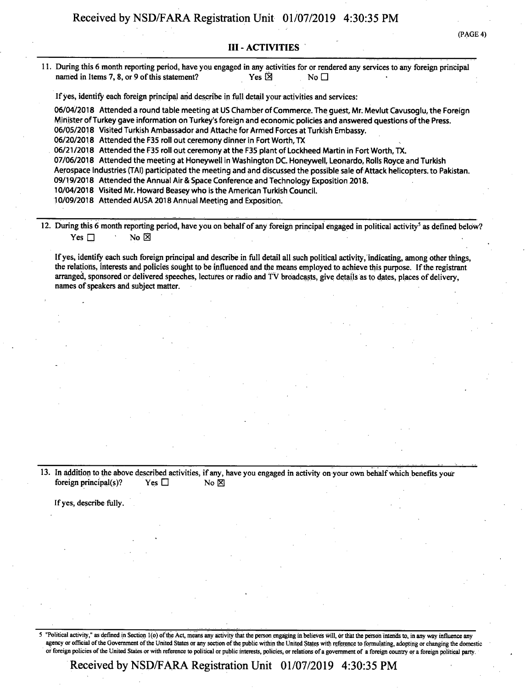(PAGE 4)

#### III - ACTIVITIES

11. During this 6 month reporting period, have you engaged in any activities for or rendered any services to any foreign principal named in Items 7, 8, or 9 of this statement? Yes  $\overline{\boxtimes}$  Yes  $\overline{\boxtimes}$ 

Ifyes, identify each foreign principal and describe in full detail your activities and services:

06/04/2018 Attended a round table meeting at US Chamber of Commerce. The quest, Mr. Meviut Cavusoglu, the Foreign Minister of Turkey gave information on Turkey's foreign and economic policies and answered questions of the Press. 06/05/2018 Visited Turkish Ambassador and Attache for Armed Forces at Turkish Embassy. 06/20/2018 Attended the F35 roll out ceremony dinner in Fort Worth, TX 06/21/2018 Attended the F35 roll out ceremony at the F35 plant of Lockheed Martin in Fort Worth, TX. 07/06/2018 Attended the meeting at Honeywell in Washington DC. Honeywell, Leonardo, Rolls Royce and Turkish Aerospace Industries (TAI) participated the meeting and and discussed the possible sale of Attack helicopters, to Pakistan. 09/19/2018 Attended the Annual Air & Space Conference and Technology Exposition 2018. 10/04/2018 Visited Mr. Howard Beasey who is the American Turkish Council.

10/09/2018 Attended AUSA 2018 Annual Meeting and Exposition.

12. During this 6 month reporting period, have you on behalf of any foreign principal engaged in political activity<sup>5</sup> as defined below? Yes  $\Box$  No  $\boxtimes$ 

Ifyes, identify each such foreign principal and describe in full detail all such political activity, indicating, among other things, the relations, interests and policies sought to be influenced and the means employed to achieve this purpose. If the registrant arranged, sponsored or delivered speeches, lectures or radio and TV broadcasts, give details as to dates, places of delivery, names of speakers and subject matter.

13. In addition to the above described activities, if any, have you engaged in activity on your own behalf which benefits your foreign principal(s)? Yes  $\Box$  No  $\boxtimes$ 

Ifyes, describe fully.

5 "Political activity," as defined in Section <sup>1</sup> (o) ofthe Act, means any activity that the person engaging in believes will, dr that the person intends to, in any way influence any agency or official of the Government of the United States or any section of the public within the United States with reference to formulating, adopting or changing the domestic or foreign policies ofthe United States or with reference to political or public interests, policies, or relations ofa government of a foreign country or a foreign political party.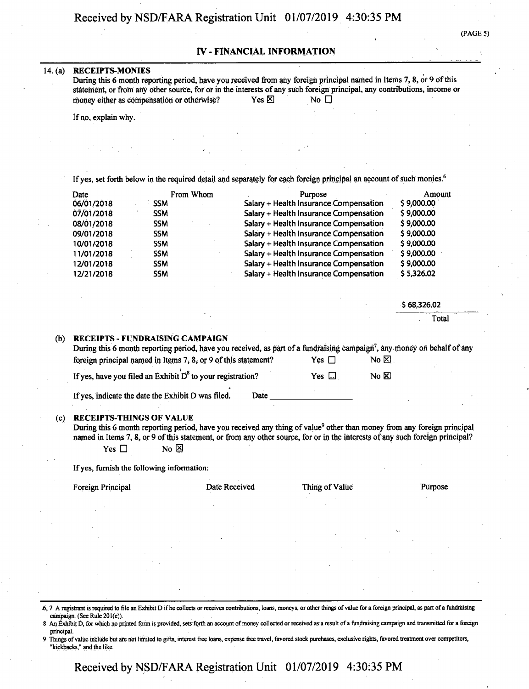### $(PAGE 5)$

#### IV - FINANCIAL INFORMATION

#### **14. (a) RECEIPTS-MONIES**

During this 6 month reporting period, have you received from any foreign principal named in Items 7, 8, or 9 of this statement, or from any other source, for or in the interests of any such foreign principal, any contributions, income or money either as compensation or otherwise? Yes  $\boxtimes$  Yes  $\boxtimes$  No  $\Box$ 

If no, explain why.

If yes, set forth below in the required detail and separately for each foreign principal an account of such monies.<sup>6</sup>

| Date       | From Whom  | Purpose                                | Amount     |
|------------|------------|----------------------------------------|------------|
| 06/01/2018 | <b>SSM</b> | Salary + Health Insurance Compensation | \$9,000.00 |
| 07/01/2018 | <b>SSM</b> | Salary + Health Insurance Compensation | \$9,000.00 |
| 08/01/2018 | <b>SSM</b> | Salary + Health Insurance Compensation | \$9,000.00 |
| 09/01/2018 | <b>SSM</b> | Salary + Health Insurance Compensation | \$9,000.00 |
| 10/01/2018 | <b>SSM</b> | Salary + Health Insurance Compensation | \$9,000.00 |
| 11/01/2018 | <b>SSM</b> | Salary + Health Insurance Compensation | \$9,000.00 |
| 12/01/2018 | <b>SSM</b> | Salary + Health Insurance Compensation | \$9,000.00 |
| 12/21/2018 | <b>SSM</b> | Salary + Health Insurance Compensation | \$5,326.02 |

\$ 68,326.02

Total

#### (b) **RECEIPTS - FUNDRAISING CAMPAIGN**

During this 6 month reporting period, have you received, as part of a fundraising campaign<sup>7</sup>, any money on behalf of any foreign principal named in Items 7, 8, or 9 of this statement? Yes  $\Box$  No  $\boxtimes$ .

If yes, have you filed an Exhibit D<sup>8</sup> to your registration? Yes  $\Box$  No  $\boxtimes$ 

Ifyes, indicate the date the Exhibit D was filed. Date

#### **(c) RECEIPTS-THINGS OF VALUE**

During this 6 month reporting period, have you received any thing of value<sup>9</sup> other than money from any foreign principal named in Items 7, 8, or 9 ofthis statement, or from any other source, for or in the interests of any such foreign principal? Yes  $\Box$  No  $\boxtimes$ 

If yes, furnish the following information:

Foreign Principal **Solution Contract Contract Purpose** Date Received Thing of Value Purpose

6,7 A registrant is required to file an Exhibit D ifhe collects or receives contributions, loans, moneys, or other things ofvalue for a foreign principal, as part ofa fundraising campaign. (See Rule 201(e)).

An Exhibit D, for which no printed form is provided, sets forth an account of money collected or received as a result of a fundraising campaign and transmitted for a foreign principal.

Things of value include but are not limited to gifts, interest free loans, expense free travel, favored stock purchases, exclusive rights, favored treatment over competitors, "kickbacks," and the like.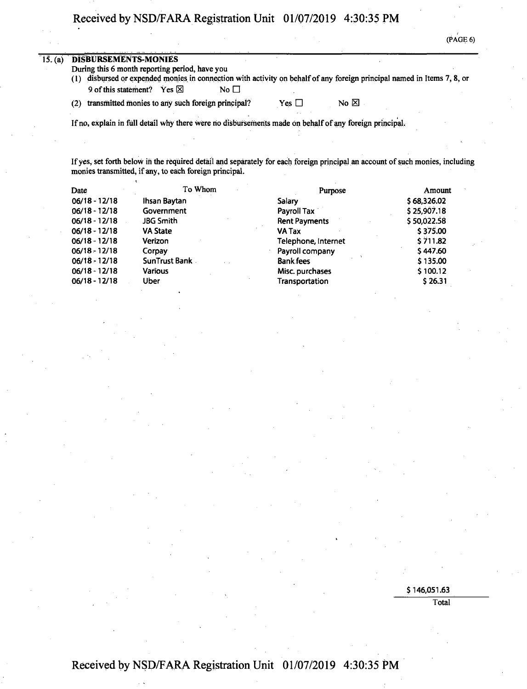$(\overline{PAGE} 6)$ 

| 15. (a) |     | <b>DISBURSEMENTS-MONIES</b>                       |           |            |                      |                                                                                                                         |
|---------|-----|---------------------------------------------------|-----------|------------|----------------------|-------------------------------------------------------------------------------------------------------------------------|
|         |     | During this 6 month reporting period, have you    |           |            |                      |                                                                                                                         |
|         |     |                                                   |           |            |                      | (1) disbursed or expended monies in connection with activity on behalf of any foreign principal named in Items 7, 8, or |
|         |     | 9 of this statement? Yes $\boxtimes$              | No $\Box$ |            |                      |                                                                                                                         |
|         | (2) | transmitted monies to any such foreign principal? |           | Yes $\Box$ | $No \nbox{ } \nabla$ |                                                                                                                         |

If no, explain in full detail why there were no disbursements made on behalf of any foreign principal.

If yes, set forth below in the required detail and separately for each foreign principal an account of such monies, including monies transmitted, if any, to each foreign principal.

| Date            | To Whom         | Purpose              | Amount      |
|-----------------|-----------------|----------------------|-------------|
| $06/18 - 12/18$ | Ihsan Baytan    | Salary               | \$68,326.02 |
| $06/18 - 12/18$ | Government      | Payroll Tax          | \$25,907.18 |
| $06/18 - 12/18$ | JBG Smith       | <b>Rent Payments</b> | \$50,022.58 |
| $06/18 - 12/18$ | <b>VA State</b> | VA Tax               | \$375.00    |
| $06/18 - 12/18$ | Verizon         | Telephone, Internet  | \$711.82    |
| $06/18 - 12/18$ | Corpay          | Payroll company      | \$447.60    |
| $06/18 - 12/18$ | SunTrust Bank   | <b>Bank fees</b>     | \$135.00    |
| $06/18 - 12/18$ | <b>Various</b>  | Misc. purchases      | \$100.12    |
| $06/18 - 12/18$ | Uber            | Transportation       | \$26.31     |

\$146,051.63

Total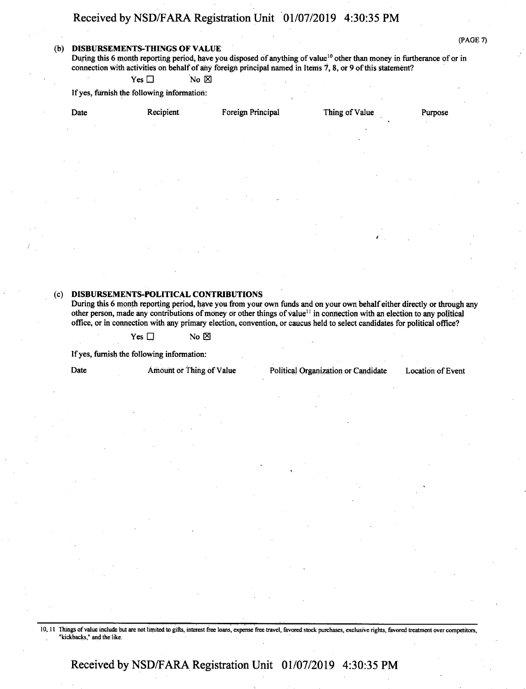#### **(b) DISBURSEMENTS-THINGS OF VALUE**

(PAGE 7)

During this 6 month reporting period, have you disposed of anything of value<sup>10</sup> other than money in furtherance of or in connection with activities on behalf of any foreign principal named in Items  $7, 8$ , or 9 of this statement?

 $Yes \Box$  No  $\boxtimes$ 

Ifyes, furnish the following information:

| Date     | Recipient        | Foreign Principal | Thing of Value | Purpose         |
|----------|------------------|-------------------|----------------|-----------------|
|          | $\sim$           |                   | ٠<br>×.        | - 11            |
|          |                  |                   |                |                 |
| $\sim$   |                  |                   |                |                 |
| <b>A</b> |                  | $\sim$            | $\mathbf{r}$   | 14<br>$\bullet$ |
|          | - 11             | $\sim$            |                |                 |
|          | $\sim$<br>$\sim$ |                   |                |                 |
|          |                  |                   | $\sim$<br>k.   | ٠               |

#### **(c) DISBURSEMENTS-POLITICAL CONTRIBUTIONS**

During this 6 month reporting period, have you from your own funds and on your own behalf either directly or through any other person, made any contributions of money or other things of value<sup>11</sup> in connection with an election to any political office, or in connection with any primary election, convention, or caucus held to select candidates for political office?

 $Yes \Box$  No  $\boxtimes$ 

Ifyes, furnish the following information:

Date Amount or Thing of Value Political Organization or Candidate Location of Event

10,11 Things ofvalue include but are not limited to gifts, interest free loans, expense free travel, favored stock purchases, exclusive rights, favored treatment over competitors. "kickbacks," and the like.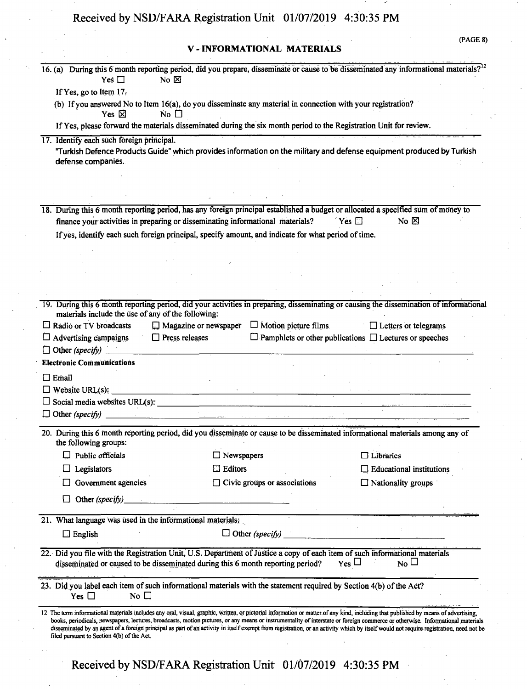## **V - INFORMATIONAL MATERIALS**

|  | (PAGE 8) |  |  |  |  |
|--|----------|--|--|--|--|
|--|----------|--|--|--|--|

| Yes $\Box$                                                 | No $\boxtimes$                                                                                                                                                                                                                                                                                                                                                                                                                                                                                                                                                | 16. (a) During this 6 month reporting period, did you prepare, disseminate or cause to be disseminated any informational materials? <sup>12</sup> |
|------------------------------------------------------------|---------------------------------------------------------------------------------------------------------------------------------------------------------------------------------------------------------------------------------------------------------------------------------------------------------------------------------------------------------------------------------------------------------------------------------------------------------------------------------------------------------------------------------------------------------------|---------------------------------------------------------------------------------------------------------------------------------------------------|
| If Yes, go to Item 17.                                     |                                                                                                                                                                                                                                                                                                                                                                                                                                                                                                                                                               |                                                                                                                                                   |
| Yes $\boxtimes$                                            | (b) If you answered No to Item 16(a), do you disseminate any material in connection with your registration?<br>No $\square$                                                                                                                                                                                                                                                                                                                                                                                                                                   |                                                                                                                                                   |
|                                                            | If Yes, please forward the materials disseminated during the six month period to the Registration Unit for review.                                                                                                                                                                                                                                                                                                                                                                                                                                            |                                                                                                                                                   |
| 17. Identify each such foreign principal.                  |                                                                                                                                                                                                                                                                                                                                                                                                                                                                                                                                                               |                                                                                                                                                   |
| defense companies.                                         | "Turkish Defence Products Guide" which provides information on the military and defense equipment produced by Turkish                                                                                                                                                                                                                                                                                                                                                                                                                                         |                                                                                                                                                   |
|                                                            |                                                                                                                                                                                                                                                                                                                                                                                                                                                                                                                                                               |                                                                                                                                                   |
|                                                            |                                                                                                                                                                                                                                                                                                                                                                                                                                                                                                                                                               |                                                                                                                                                   |
|                                                            |                                                                                                                                                                                                                                                                                                                                                                                                                                                                                                                                                               |                                                                                                                                                   |
|                                                            | 18. During this 6 month reporting period, has any foreign principal established a budget or allocated a specified sum of money to                                                                                                                                                                                                                                                                                                                                                                                                                             |                                                                                                                                                   |
|                                                            | finance your activities in preparing or disseminating informational materials?                                                                                                                                                                                                                                                                                                                                                                                                                                                                                | $Y$ es $\Box$<br>No $\boxtimes$                                                                                                                   |
|                                                            | If yes, identify each such foreign principal, specify amount, and indicate for what period of time.                                                                                                                                                                                                                                                                                                                                                                                                                                                           |                                                                                                                                                   |
|                                                            |                                                                                                                                                                                                                                                                                                                                                                                                                                                                                                                                                               |                                                                                                                                                   |
|                                                            |                                                                                                                                                                                                                                                                                                                                                                                                                                                                                                                                                               |                                                                                                                                                   |
|                                                            |                                                                                                                                                                                                                                                                                                                                                                                                                                                                                                                                                               |                                                                                                                                                   |
|                                                            |                                                                                                                                                                                                                                                                                                                                                                                                                                                                                                                                                               |                                                                                                                                                   |
| materials include the use of any of the following:         |                                                                                                                                                                                                                                                                                                                                                                                                                                                                                                                                                               | 19. During this 6 month reporting period, did your activities in preparing, disseminating or causing the dissemination of informational           |
| Radio or TV broadcasts                                     | Magazine or newspaper<br>$\Box$ Motion picture films                                                                                                                                                                                                                                                                                                                                                                                                                                                                                                          | $\Box$ Letters or telegrams                                                                                                                       |
| $\Box$ Advertising campaigns                               | $\Box$ Press releases                                                                                                                                                                                                                                                                                                                                                                                                                                                                                                                                         | $\Box$ Pamphlets or other publications $\Box$ Lectures or speeches                                                                                |
| $\Box$ Other (specify) $\Box$                              |                                                                                                                                                                                                                                                                                                                                                                                                                                                                                                                                                               |                                                                                                                                                   |
| <b>Electronic Communications</b>                           |                                                                                                                                                                                                                                                                                                                                                                                                                                                                                                                                                               |                                                                                                                                                   |
| $\Box$ Email                                               |                                                                                                                                                                                                                                                                                                                                                                                                                                                                                                                                                               |                                                                                                                                                   |
|                                                            | $\Box$ Website URL(s): $\Box$                                                                                                                                                                                                                                                                                                                                                                                                                                                                                                                                 |                                                                                                                                                   |
|                                                            |                                                                                                                                                                                                                                                                                                                                                                                                                                                                                                                                                               |                                                                                                                                                   |
|                                                            |                                                                                                                                                                                                                                                                                                                                                                                                                                                                                                                                                               |                                                                                                                                                   |
| the following groups:                                      | 20. During this 6 month reporting period, did you disseminate or cause to be disseminated informational materials among any of                                                                                                                                                                                                                                                                                                                                                                                                                                |                                                                                                                                                   |
| Public officials                                           | $\Box$ Newspapers                                                                                                                                                                                                                                                                                                                                                                                                                                                                                                                                             | $\Box$ Libraries                                                                                                                                  |
| Legislators                                                | Editors                                                                                                                                                                                                                                                                                                                                                                                                                                                                                                                                                       | $\Box$ Educational institutions                                                                                                                   |
| Government agencies                                        | $\Box$ Civic groups or associations                                                                                                                                                                                                                                                                                                                                                                                                                                                                                                                           | $\Box$ Nationality groups                                                                                                                         |
| Other (specify)                                            |                                                                                                                                                                                                                                                                                                                                                                                                                                                                                                                                                               |                                                                                                                                                   |
|                                                            |                                                                                                                                                                                                                                                                                                                                                                                                                                                                                                                                                               |                                                                                                                                                   |
| 21. What language was used in the informational materials: |                                                                                                                                                                                                                                                                                                                                                                                                                                                                                                                                                               |                                                                                                                                                   |
| $\Box$ English                                             | $\Box$ Other (specify)                                                                                                                                                                                                                                                                                                                                                                                                                                                                                                                                        |                                                                                                                                                   |
|                                                            | 22. Did you file with the Registration Unit, U.S. Department of Justice a copy of each item of such informational materials                                                                                                                                                                                                                                                                                                                                                                                                                                   |                                                                                                                                                   |
|                                                            | disseminated or caused to be disseminated during this 6 month reporting period?                                                                                                                                                                                                                                                                                                                                                                                                                                                                               | $Yes \Box$<br>$N_0 \Box$                                                                                                                          |
| Yes $\Box$<br>No $\square$                                 | 23. Did you label each item of such informational materials with the statement required by Section 4(b) of the Act?                                                                                                                                                                                                                                                                                                                                                                                                                                           |                                                                                                                                                   |
| filed pursuant to Section 4(b) of the Act.                 | 12 The term informational materials includes any oral, visual, graphic, written, or pictorial information or matter of any kind, including that published by means of advertising,<br>books, periodicals, newspapers, lectures, broadcasts, motion pictures, or any means or instrumentality of interstate or foreign commerce or otherwise. Informational materials<br>disseminated by an agent of a foreign principal as part of an activity in itself exempt from registration, or an activity which by itself would not require registration, need not be |                                                                                                                                                   |
|                                                            | Received by NSD/FARA Registration Unit 01/07/2019 4:30:35 PM                                                                                                                                                                                                                                                                                                                                                                                                                                                                                                  |                                                                                                                                                   |